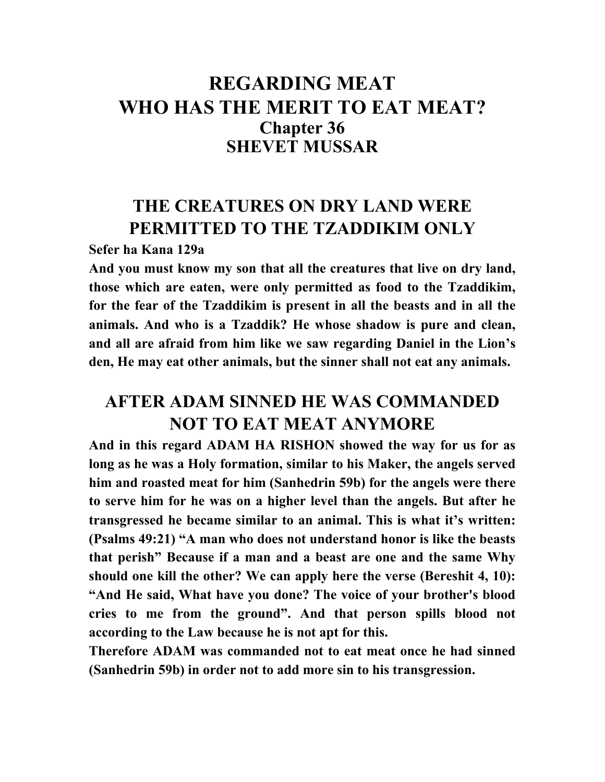## **REGARDING MEAT WHO HAS THE MERIT TO EAT MEAT? Chapter 36 SHEVET MUSSAR**

## **THE CREATURES ON DRY LAND WERE PERMITTED TO THE TZADDIKIM ONLY**

**Sefer ha Kana 129a** 

**And you must know my son that all the creatures that live on dry land, those which are eaten, were only permitted as food to the Tzaddikim, for the fear of the Tzaddikim is present in all the beasts and in all the animals. And who is a Tzaddik? He whose shadow is pure and clean, and all are afraid from him like we saw regarding Daniel in the Lion's den, He may eat other animals, but the sinner shall not eat any animals.** 

## **AFTER ADAM SINNED HE WAS COMMANDED NOT TO EAT MEAT ANYMORE**

**And in this regard ADAM HA RISHON showed the way for us for as long as he was a Holy formation, similar to his Maker, the angels served him and roasted meat for him (Sanhedrin 59b) for the angels were there to serve him for he was on a higher level than the angels. But after he transgressed he became similar to an animal. This is what it's written: (Psalms 49:21) "A man who does not understand honor is like the beasts that perish" Because if a man and a beast are one and the same Why should one kill the other? We can apply here the verse (Bereshit 4, 10): "And He said, What have you done? The voice of your brother's blood cries to me from the ground". And that person spills blood not according to the Law because he is not apt for this.** 

**Therefore ADAM was commanded not to eat meat once he had sinned (Sanhedrin 59b) in order not to add more sin to his transgression.**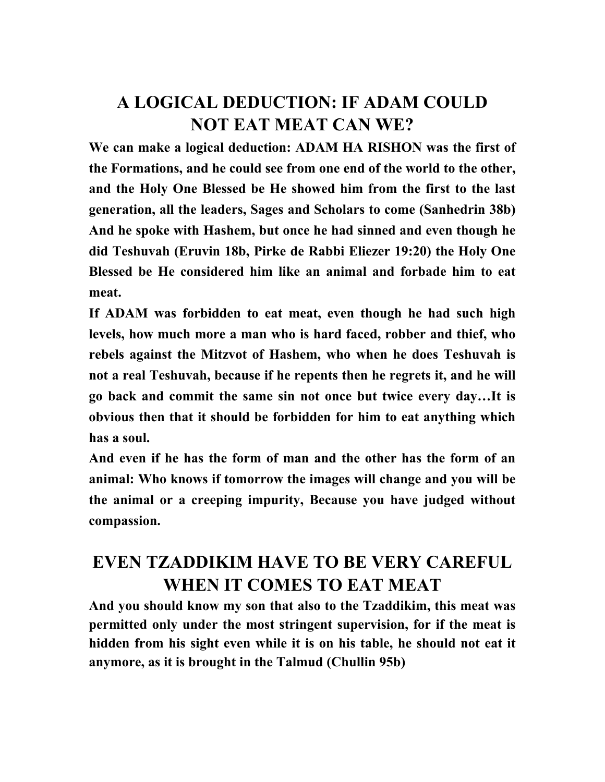# **A LOGICAL DEDUCTION: IF ADAM COULD NOT EAT MEAT CAN WE?**

**We can make a logical deduction: ADAM HA RISHON was the first of the Formations, and he could see from one end of the world to the other, and the Holy One Blessed be He showed him from the first to the last generation, all the leaders, Sages and Scholars to come (Sanhedrin 38b) And he spoke with Hashem, but once he had sinned and even though he did Teshuvah (Eruvin 18b, Pirke de Rabbi Eliezer 19:20) the Holy One Blessed be He considered him like an animal and forbade him to eat meat.** 

**If ADAM was forbidden to eat meat, even though he had such high levels, how much more a man who is hard faced, robber and thief, who rebels against the Mitzvot of Hashem, who when he does Teshuvah is not a real Teshuvah, because if he repents then he regrets it, and he will go back and commit the same sin not once but twice every day…It is obvious then that it should be forbidden for him to eat anything which has a soul.** 

**And even if he has the form of man and the other has the form of an animal: Who knows if tomorrow the images will change and you will be the animal or a creeping impurity, Because you have judged without compassion.** 

## **EVEN TZADDIKIM HAVE TO BE VERY CAREFUL WHEN IT COMES TO EAT MEAT**

**And you should know my son that also to the Tzaddikim, this meat was permitted only under the most stringent supervision, for if the meat is hidden from his sight even while it is on his table, he should not eat it anymore, as it is brought in the Talmud (Chullin 95b)**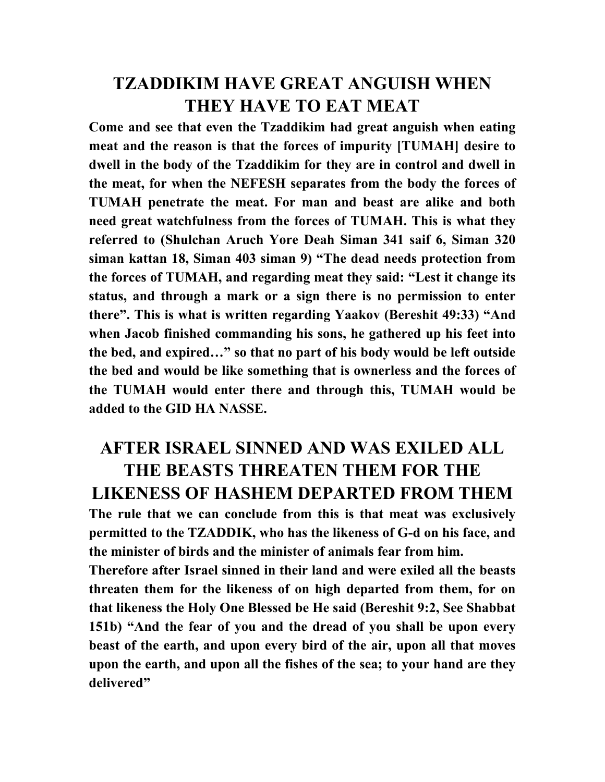#### **TZADDIKIM HAVE GREAT ANGUISH WHEN THEY HAVE TO EAT MEAT**

**Come and see that even the Tzaddikim had great anguish when eating meat and the reason is that the forces of impurity [TUMAH] desire to dwell in the body of the Tzaddikim for they are in control and dwell in the meat, for when the NEFESH separates from the body the forces of TUMAH penetrate the meat. For man and beast are alike and both need great watchfulness from the forces of TUMAH. This is what they referred to (Shulchan Aruch Yore Deah Siman 341 saif 6, Siman 320 siman kattan 18, Siman 403 siman 9) "The dead needs protection from the forces of TUMAH, and regarding meat they said: "Lest it change its status, and through a mark or a sign there is no permission to enter there". This is what is written regarding Yaakov (Bereshit 49:33) "And when Jacob finished commanding his sons, he gathered up his feet into the bed, and expired…" so that no part of his body would be left outside the bed and would be like something that is ownerless and the forces of the TUMAH would enter there and through this, TUMAH would be added to the GID HA NASSE.** 

#### **AFTER ISRAEL SINNED AND WAS EXILED ALL THE BEASTS THREATEN THEM FOR THE LIKENESS OF HASHEM DEPARTED FROM THEM**

**The rule that we can conclude from this is that meat was exclusively permitted to the TZADDIK, who has the likeness of G-d on his face, and the minister of birds and the minister of animals fear from him.** 

**Therefore after Israel sinned in their land and were exiled all the beasts threaten them for the likeness of on high departed from them, for on that likeness the Holy One Blessed be He said (Bereshit 9:2, See Shabbat 151b) "And the fear of you and the dread of you shall be upon every beast of the earth, and upon every bird of the air, upon all that moves upon the earth, and upon all the fishes of the sea; to your hand are they delivered"**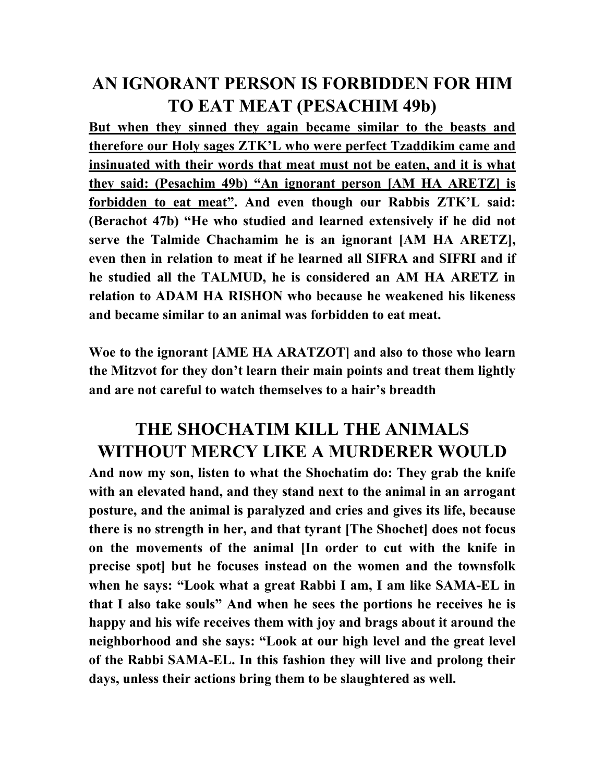### **AN IGNORANT PERSON IS FORBIDDEN FOR HIM TO EAT MEAT (PESACHIM 49b)**

**But when they sinned they again became similar to the beasts and therefore our Holy sages ZTK'L who were perfect Tzaddikim came and insinuated with their words that meat must not be eaten, and it is what they said: (Pesachim 49b) "An ignorant person [AM HA ARETZ] is forbidden to eat meat". And even though our Rabbis ZTK'L said: (Berachot 47b) "He who studied and learned extensively if he did not serve the Talmide Chachamim he is an ignorant [AM HA ARETZ], even then in relation to meat if he learned all SIFRA and SIFRI and if he studied all the TALMUD, he is considered an AM HA ARETZ in relation to ADAM HA RISHON who because he weakened his likeness and became similar to an animal was forbidden to eat meat.** 

**Woe to the ignorant [AME HA ARATZOT] and also to those who learn the Mitzvot for they don't learn their main points and treat them lightly and are not careful to watch themselves to a hair's breadth** 

# **THE SHOCHATIM KILL THE ANIMALS WITHOUT MERCY LIKE A MURDERER WOULD**

**And now my son, listen to what the Shochatim do: They grab the knife with an elevated hand, and they stand next to the animal in an arrogant posture, and the animal is paralyzed and cries and gives its life, because there is no strength in her, and that tyrant [The Shochet] does not focus on the movements of the animal [In order to cut with the knife in precise spot] but he focuses instead on the women and the townsfolk when he says: "Look what a great Rabbi I am, I am like SAMA-EL in that I also take souls" And when he sees the portions he receives he is happy and his wife receives them with joy and brags about it around the neighborhood and she says: "Look at our high level and the great level of the Rabbi SAMA-EL. In this fashion they will live and prolong their days, unless their actions bring them to be slaughtered as well.**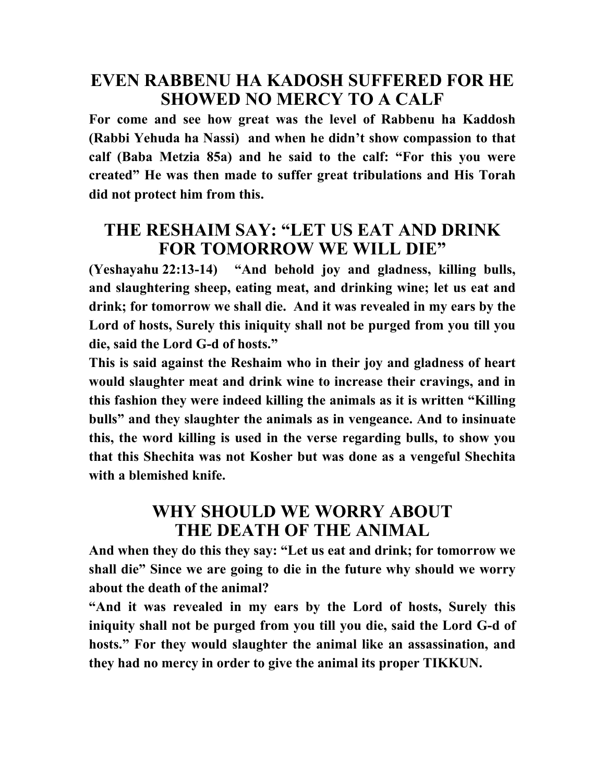#### **EVEN RABBENU HA KADOSH SUFFERED FOR HE SHOWED NO MERCY TO A CALF**

**For come and see how great was the level of Rabbenu ha Kaddosh (Rabbi Yehuda ha Nassi) and when he didn't show compassion to that calf (Baba Metzia 85a) and he said to the calf: "For this you were created" He was then made to suffer great tribulations and His Torah did not protect him from this.** 

#### **THE RESHAIM SAY: "LET US EAT AND DRINK FOR TOMORROW WE WILL DIE"**

**(Yeshayahu 22:13-14) "And behold joy and gladness, killing bulls, and slaughtering sheep, eating meat, and drinking wine; let us eat and drink; for tomorrow we shall die. And it was revealed in my ears by the Lord of hosts, Surely this iniquity shall not be purged from you till you die, said the Lord G-d of hosts."** 

**This is said against the Reshaim who in their joy and gladness of heart would slaughter meat and drink wine to increase their cravings, and in this fashion they were indeed killing the animals as it is written "Killing bulls" and they slaughter the animals as in vengeance. And to insinuate this, the word killing is used in the verse regarding bulls, to show you that this Shechita was not Kosher but was done as a vengeful Shechita with a blemished knife.** 

#### **WHY SHOULD WE WORRY ABOUT THE DEATH OF THE ANIMAL**

**And when they do this they say: "Let us eat and drink; for tomorrow we shall die" Since we are going to die in the future why should we worry about the death of the animal?** 

**"And it was revealed in my ears by the Lord of hosts, Surely this iniquity shall not be purged from you till you die, said the Lord G-d of hosts." For they would slaughter the animal like an assassination, and they had no mercy in order to give the animal its proper TIKKUN.**